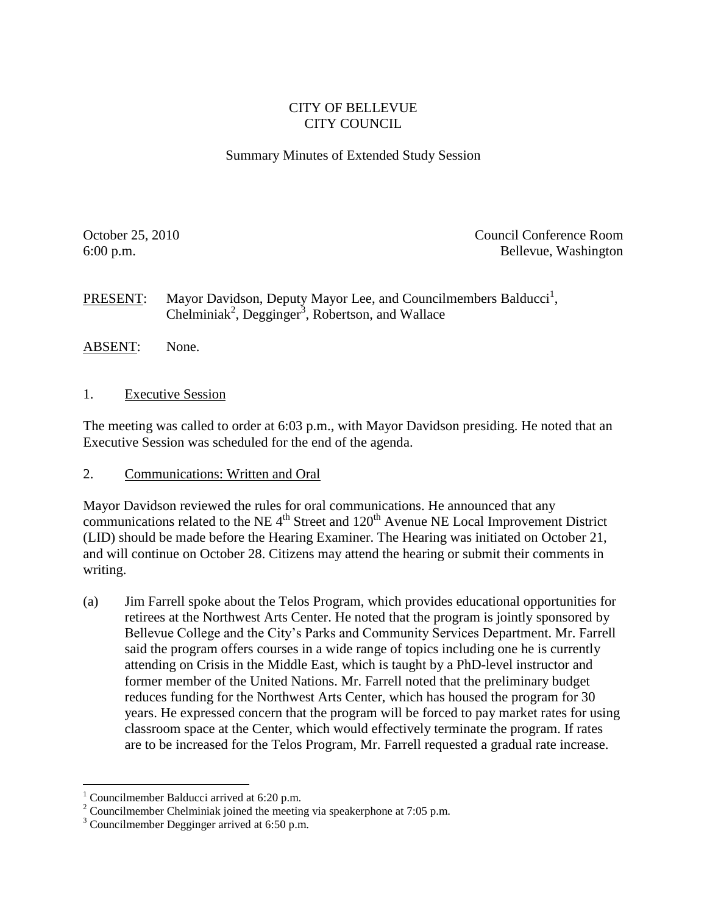## CITY OF BELLEVUE CITY COUNCIL

Summary Minutes of Extended Study Session

October 25, 2010 Council Conference Room 6:00 p.m. Bellevue, Washington

**PRESENT:** Mayor Davidson, Deputy Mayor Lee, and Councilmembers Balducci<sup>1</sup>, Chelminiak<sup>2</sup>, Degginger<sup>3</sup>, Robertson, and Wallace

- ABSENT: None.
- 1. Executive Session

The meeting was called to order at 6:03 p.m., with Mayor Davidson presiding. He noted that an Executive Session was scheduled for the end of the agenda.

2. Communications: Written and Oral

Mayor Davidson reviewed the rules for oral communications. He announced that any communications related to the NE  $4<sup>th</sup>$  Street and  $120<sup>th</sup>$  Avenue NE Local Improvement District (LID) should be made before the Hearing Examiner. The Hearing was initiated on October 21, and will continue on October 28. Citizens may attend the hearing or submit their comments in writing.

(a) Jim Farrell spoke about the Telos Program, which provides educational opportunities for retirees at the Northwest Arts Center. He noted that the program is jointly sponsored by Bellevue College and the City's Parks and Community Services Department. Mr. Farrell said the program offers courses in a wide range of topics including one he is currently attending on Crisis in the Middle East, which is taught by a PhD-level instructor and former member of the United Nations. Mr. Farrell noted that the preliminary budget reduces funding for the Northwest Arts Center, which has housed the program for 30 years. He expressed concern that the program will be forced to pay market rates for using classroom space at the Center, which would effectively terminate the program. If rates are to be increased for the Telos Program, Mr. Farrell requested a gradual rate increase.

 $\overline{a}$ 

<sup>&</sup>lt;sup>1</sup> Councilmember Balducci arrived at  $6:20$  p.m.

<sup>&</sup>lt;sup>2</sup> Councilmember Chelminiak joined the meeting via speakerphone at 7:05 p.m.

<sup>&</sup>lt;sup>3</sup> Councilmember Degginger arrived at 6:50 p.m.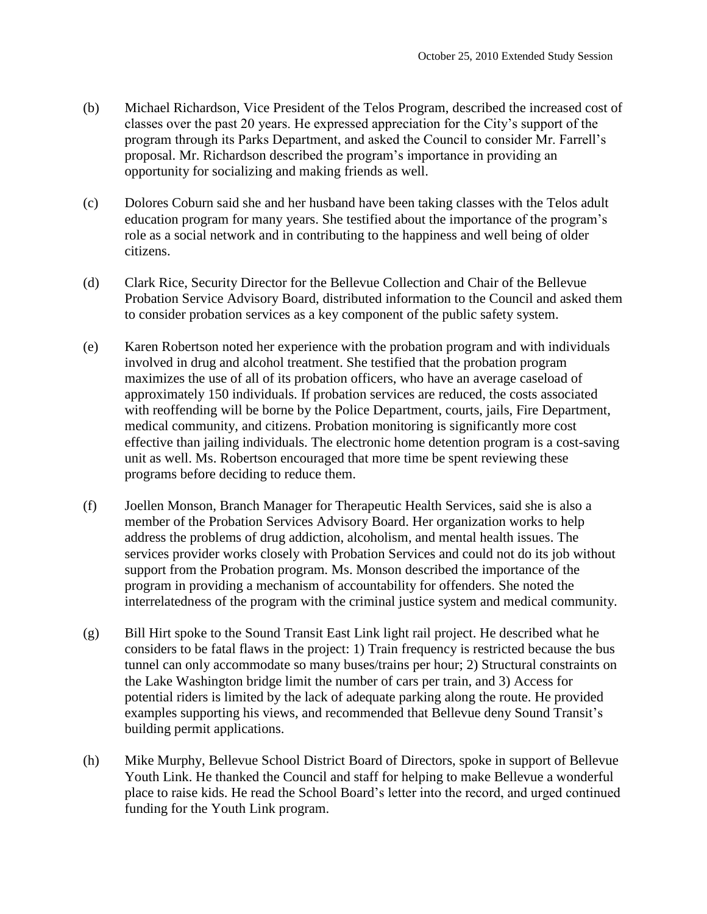- (b) Michael Richardson, Vice President of the Telos Program, described the increased cost of classes over the past 20 years. He expressed appreciation for the City's support of the program through its Parks Department, and asked the Council to consider Mr. Farrell's proposal. Mr. Richardson described the program's importance in providing an opportunity for socializing and making friends as well.
- (c) Dolores Coburn said she and her husband have been taking classes with the Telos adult education program for many years. She testified about the importance of the program's role as a social network and in contributing to the happiness and well being of older citizens.
- (d) Clark Rice, Security Director for the Bellevue Collection and Chair of the Bellevue Probation Service Advisory Board, distributed information to the Council and asked them to consider probation services as a key component of the public safety system.
- (e) Karen Robertson noted her experience with the probation program and with individuals involved in drug and alcohol treatment. She testified that the probation program maximizes the use of all of its probation officers, who have an average caseload of approximately 150 individuals. If probation services are reduced, the costs associated with reoffending will be borne by the Police Department, courts, jails, Fire Department, medical community, and citizens. Probation monitoring is significantly more cost effective than jailing individuals. The electronic home detention program is a cost-saving unit as well. Ms. Robertson encouraged that more time be spent reviewing these programs before deciding to reduce them.
- (f) Joellen Monson, Branch Manager for Therapeutic Health Services, said she is also a member of the Probation Services Advisory Board. Her organization works to help address the problems of drug addiction, alcoholism, and mental health issues. The services provider works closely with Probation Services and could not do its job without support from the Probation program. Ms. Monson described the importance of the program in providing a mechanism of accountability for offenders. She noted the interrelatedness of the program with the criminal justice system and medical community.
- (g) Bill Hirt spoke to the Sound Transit East Link light rail project. He described what he considers to be fatal flaws in the project: 1) Train frequency is restricted because the bus tunnel can only accommodate so many buses/trains per hour; 2) Structural constraints on the Lake Washington bridge limit the number of cars per train, and 3) Access for potential riders is limited by the lack of adequate parking along the route. He provided examples supporting his views, and recommended that Bellevue deny Sound Transit's building permit applications.
- (h) Mike Murphy, Bellevue School District Board of Directors, spoke in support of Bellevue Youth Link. He thanked the Council and staff for helping to make Bellevue a wonderful place to raise kids. He read the School Board's letter into the record, and urged continued funding for the Youth Link program.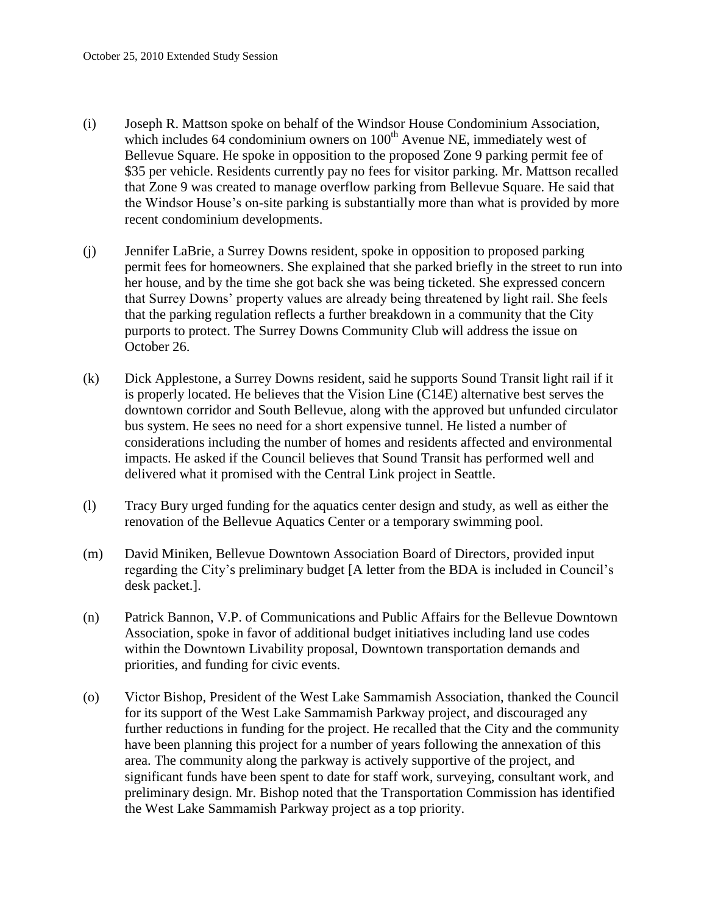- (i) Joseph R. Mattson spoke on behalf of the Windsor House Condominium Association, which includes 64 condominium owners on  $100<sup>th</sup>$  Avenue NE, immediately west of Bellevue Square. He spoke in opposition to the proposed Zone 9 parking permit fee of \$35 per vehicle. Residents currently pay no fees for visitor parking. Mr. Mattson recalled that Zone 9 was created to manage overflow parking from Bellevue Square. He said that the Windsor House's on-site parking is substantially more than what is provided by more recent condominium developments.
- (j) Jennifer LaBrie, a Surrey Downs resident, spoke in opposition to proposed parking permit fees for homeowners. She explained that she parked briefly in the street to run into her house, and by the time she got back she was being ticketed. She expressed concern that Surrey Downs' property values are already being threatened by light rail. She feels that the parking regulation reflects a further breakdown in a community that the City purports to protect. The Surrey Downs Community Club will address the issue on October 26.
- (k) Dick Applestone, a Surrey Downs resident, said he supports Sound Transit light rail if it is properly located. He believes that the Vision Line (C14E) alternative best serves the downtown corridor and South Bellevue, along with the approved but unfunded circulator bus system. He sees no need for a short expensive tunnel. He listed a number of considerations including the number of homes and residents affected and environmental impacts. He asked if the Council believes that Sound Transit has performed well and delivered what it promised with the Central Link project in Seattle.
- (l) Tracy Bury urged funding for the aquatics center design and study, as well as either the renovation of the Bellevue Aquatics Center or a temporary swimming pool.
- (m) David Miniken, Bellevue Downtown Association Board of Directors, provided input regarding the City's preliminary budget [A letter from the BDA is included in Council's desk packet.].
- (n) Patrick Bannon, V.P. of Communications and Public Affairs for the Bellevue Downtown Association, spoke in favor of additional budget initiatives including land use codes within the Downtown Livability proposal, Downtown transportation demands and priorities, and funding for civic events.
- (o) Victor Bishop, President of the West Lake Sammamish Association, thanked the Council for its support of the West Lake Sammamish Parkway project, and discouraged any further reductions in funding for the project. He recalled that the City and the community have been planning this project for a number of years following the annexation of this area. The community along the parkway is actively supportive of the project, and significant funds have been spent to date for staff work, surveying, consultant work, and preliminary design. Mr. Bishop noted that the Transportation Commission has identified the West Lake Sammamish Parkway project as a top priority.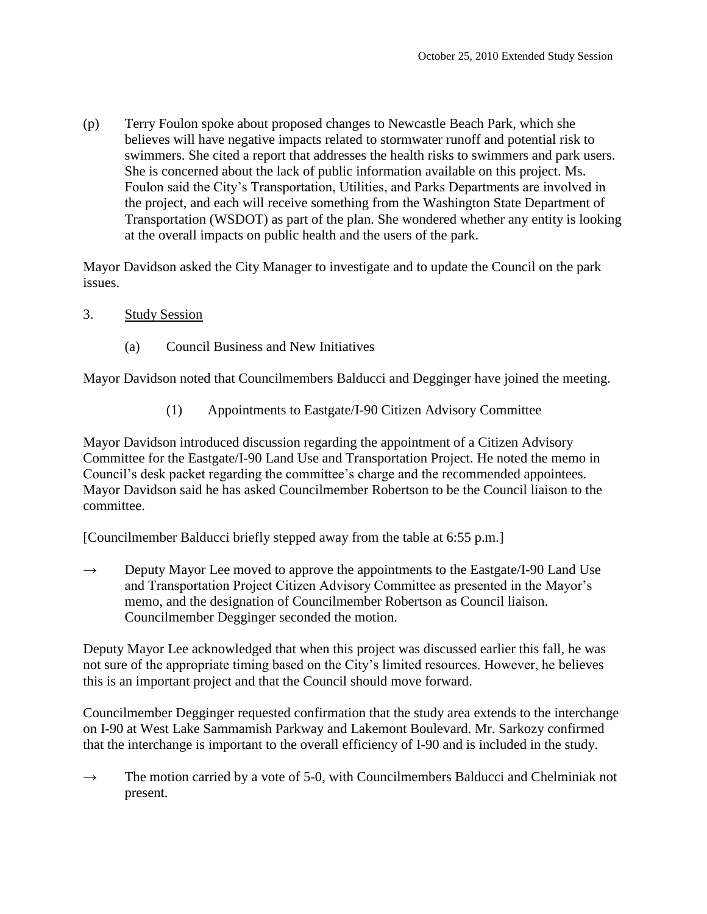(p) Terry Foulon spoke about proposed changes to Newcastle Beach Park, which she believes will have negative impacts related to stormwater runoff and potential risk to swimmers. She cited a report that addresses the health risks to swimmers and park users. She is concerned about the lack of public information available on this project. Ms. Foulon said the City's Transportation, Utilities, and Parks Departments are involved in the project, and each will receive something from the Washington State Department of Transportation (WSDOT) as part of the plan. She wondered whether any entity is looking at the overall impacts on public health and the users of the park.

Mayor Davidson asked the City Manager to investigate and to update the Council on the park issues.

- 3. Study Session
	- (a) Council Business and New Initiatives

Mayor Davidson noted that Councilmembers Balducci and Degginger have joined the meeting.

(1) Appointments to Eastgate/I-90 Citizen Advisory Committee

Mayor Davidson introduced discussion regarding the appointment of a Citizen Advisory Committee for the Eastgate/I-90 Land Use and Transportation Project. He noted the memo in Council's desk packet regarding the committee's charge and the recommended appointees. Mayor Davidson said he has asked Councilmember Robertson to be the Council liaison to the committee.

[Councilmember Balducci briefly stepped away from the table at 6:55 p.m.]

 $\rightarrow$  Deputy Mayor Lee moved to approve the appointments to the Eastgate/I-90 Land Use and Transportation Project Citizen Advisory Committee as presented in the Mayor's memo, and the designation of Councilmember Robertson as Council liaison. Councilmember Degginger seconded the motion.

Deputy Mayor Lee acknowledged that when this project was discussed earlier this fall, he was not sure of the appropriate timing based on the City's limited resources. However, he believes this is an important project and that the Council should move forward.

Councilmember Degginger requested confirmation that the study area extends to the interchange on I-90 at West Lake Sammamish Parkway and Lakemont Boulevard. Mr. Sarkozy confirmed that the interchange is important to the overall efficiency of I-90 and is included in the study.

 $\rightarrow$  The motion carried by a vote of 5-0, with Councilmembers Balducci and Chelminiak not present.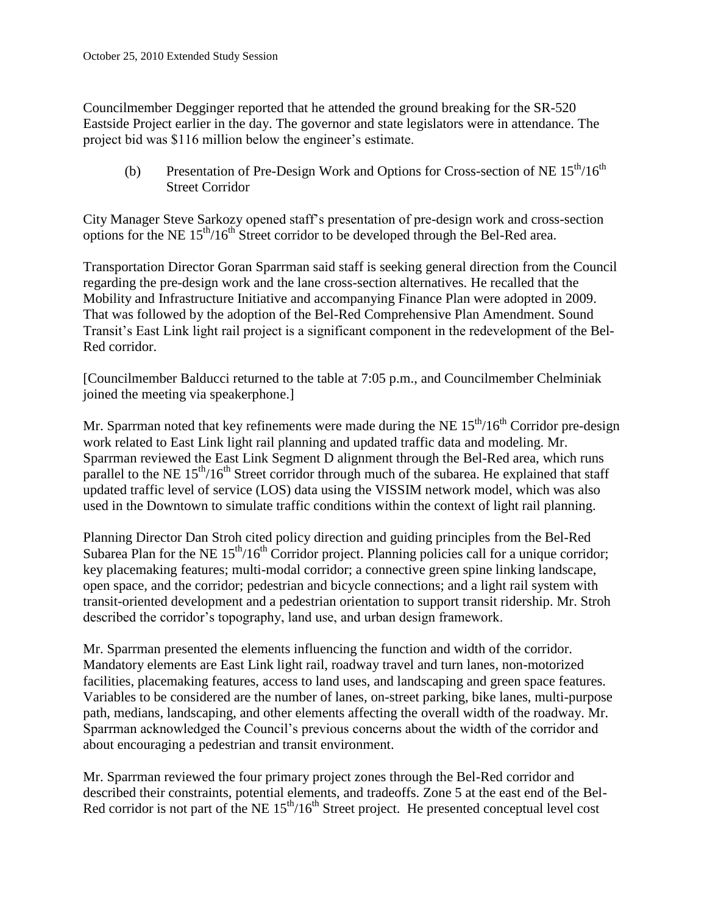Councilmember Degginger reported that he attended the ground breaking for the SR-520 Eastside Project earlier in the day. The governor and state legislators were in attendance. The project bid was \$116 million below the engineer's estimate.

(b) Presentation of Pre-Design Work and Options for Cross-section of NE  $15<sup>th</sup>/16<sup>th</sup>$ Street Corridor

City Manager Steve Sarkozy opened staff's presentation of pre-design work and cross-section options for the NE  $15<sup>th</sup>/16<sup>th</sup>$  Street corridor to be developed through the Bel-Red area.

Transportation Director Goran Sparrman said staff is seeking general direction from the Council regarding the pre-design work and the lane cross-section alternatives. He recalled that the Mobility and Infrastructure Initiative and accompanying Finance Plan were adopted in 2009. That was followed by the adoption of the Bel-Red Comprehensive Plan Amendment. Sound Transit's East Link light rail project is a significant component in the redevelopment of the Bel-Red corridor.

[Councilmember Balducci returned to the table at 7:05 p.m., and Councilmember Chelminiak joined the meeting via speakerphone.]

Mr. Sparrman noted that key refinements were made during the NE  $15<sup>th</sup>/16<sup>th</sup>$  Corridor pre-design work related to East Link light rail planning and updated traffic data and modeling. Mr. Sparrman reviewed the East Link Segment D alignment through the Bel-Red area, which runs parallel to the NE  $15<sup>th</sup>/16<sup>th</sup>$  Street corridor through much of the subarea. He explained that staff updated traffic level of service (LOS) data using the VISSIM network model, which was also used in the Downtown to simulate traffic conditions within the context of light rail planning.

Planning Director Dan Stroh cited policy direction and guiding principles from the Bel-Red Subarea Plan for the NE  $15<sup>th</sup>/16<sup>th</sup>$  Corridor project. Planning policies call for a unique corridor; key placemaking features; multi-modal corridor; a connective green spine linking landscape, open space, and the corridor; pedestrian and bicycle connections; and a light rail system with transit-oriented development and a pedestrian orientation to support transit ridership. Mr. Stroh described the corridor's topography, land use, and urban design framework.

Mr. Sparrman presented the elements influencing the function and width of the corridor. Mandatory elements are East Link light rail, roadway travel and turn lanes, non-motorized facilities, placemaking features, access to land uses, and landscaping and green space features. Variables to be considered are the number of lanes, on-street parking, bike lanes, multi-purpose path, medians, landscaping, and other elements affecting the overall width of the roadway. Mr. Sparrman acknowledged the Council's previous concerns about the width of the corridor and about encouraging a pedestrian and transit environment.

Mr. Sparrman reviewed the four primary project zones through the Bel-Red corridor and described their constraints, potential elements, and tradeoffs. Zone 5 at the east end of the Bel-Red corridor is not part of the NE 15<sup>th</sup>/16<sup>th</sup> Street project. He presented conceptual level cost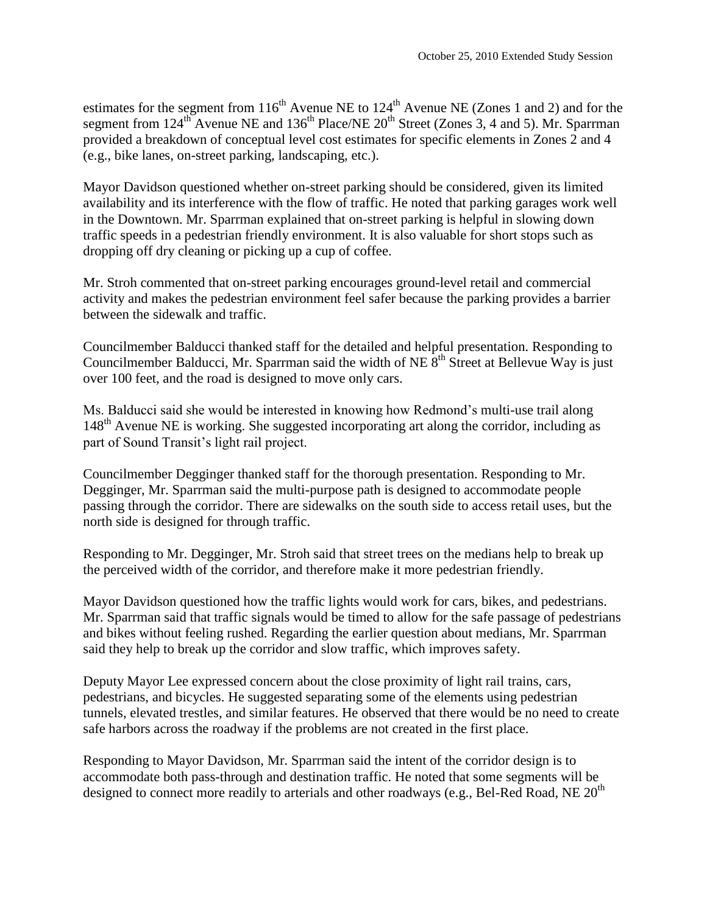estimates for the segment from  $116<sup>th</sup>$  Avenue NE to  $124<sup>th</sup>$  Avenue NE (Zones 1 and 2) and for the segment from  $124^{th}$  Avenue NE and  $136^{th}$  Place/NE  $20^{th}$  Street (Zones 3, 4 and 5). Mr. Sparrman provided a breakdown of conceptual level cost estimates for specific elements in Zones 2 and 4 (e.g., bike lanes, on-street parking, landscaping, etc.).

Mayor Davidson questioned whether on-street parking should be considered, given its limited availability and its interference with the flow of traffic. He noted that parking garages work well in the Downtown. Mr. Sparrman explained that on-street parking is helpful in slowing down traffic speeds in a pedestrian friendly environment. It is also valuable for short stops such as dropping off dry cleaning or picking up a cup of coffee.

Mr. Stroh commented that on-street parking encourages ground-level retail and commercial activity and makes the pedestrian environment feel safer because the parking provides a barrier between the sidewalk and traffic.

Councilmember Balducci thanked staff for the detailed and helpful presentation. Responding to Councilmember Balducci, Mr. Sparrman said the width of NE  $8<sup>th</sup>$  Street at Bellevue Way is just over 100 feet, and the road is designed to move only cars.

Ms. Balducci said she would be interested in knowing how Redmond's multi-use trail along 148<sup>th</sup> Avenue NE is working. She suggested incorporating art along the corridor, including as part of Sound Transit's light rail project.

Councilmember Degginger thanked staff for the thorough presentation. Responding to Mr. Degginger, Mr. Sparrman said the multi-purpose path is designed to accommodate people passing through the corridor. There are sidewalks on the south side to access retail uses, but the north side is designed for through traffic.

Responding to Mr. Degginger, Mr. Stroh said that street trees on the medians help to break up the perceived width of the corridor, and therefore make it more pedestrian friendly.

Mayor Davidson questioned how the traffic lights would work for cars, bikes, and pedestrians. Mr. Sparrman said that traffic signals would be timed to allow for the safe passage of pedestrians and bikes without feeling rushed. Regarding the earlier question about medians, Mr. Sparrman said they help to break up the corridor and slow traffic, which improves safety.

Deputy Mayor Lee expressed concern about the close proximity of light rail trains, cars, pedestrians, and bicycles. He suggested separating some of the elements using pedestrian tunnels, elevated trestles, and similar features. He observed that there would be no need to create safe harbors across the roadway if the problems are not created in the first place.

Responding to Mayor Davidson, Mr. Sparrman said the intent of the corridor design is to accommodate both pass-through and destination traffic. He noted that some segments will be designed to connect more readily to arterials and other roadways (e.g., Bel-Red Road, NE 20<sup>th</sup>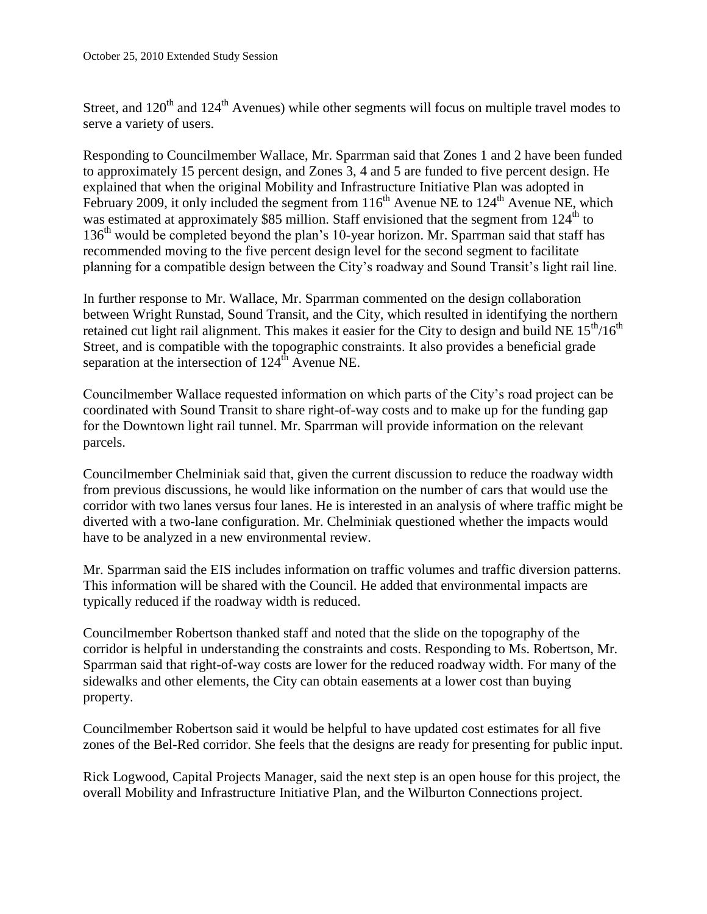Street, and  $120<sup>th</sup>$  and  $124<sup>th</sup>$  Avenues) while other segments will focus on multiple travel modes to serve a variety of users.

Responding to Councilmember Wallace, Mr. Sparrman said that Zones 1 and 2 have been funded to approximately 15 percent design, and Zones 3, 4 and 5 are funded to five percent design. He explained that when the original Mobility and Infrastructure Initiative Plan was adopted in February 2009, it only included the segment from  $116<sup>th</sup>$  Avenue NE to  $124<sup>th</sup>$  Avenue NE, which was estimated at approximately \$85 million. Staff envisioned that the segment from  $124<sup>th</sup>$  to 136th would be completed beyond the plan's 10-year horizon. Mr. Sparrman said that staff has recommended moving to the five percent design level for the second segment to facilitate planning for a compatible design between the City's roadway and Sound Transit's light rail line.

In further response to Mr. Wallace, Mr. Sparrman commented on the design collaboration between Wright Runstad, Sound Transit, and the City, which resulted in identifying the northern retained cut light rail alignment. This makes it easier for the City to design and build NE  $15<sup>th</sup>/16<sup>th</sup>$ Street, and is compatible with the topographic constraints. It also provides a beneficial grade separation at the intersection of  $124<sup>th</sup>$  Avenue NE.

Councilmember Wallace requested information on which parts of the City's road project can be coordinated with Sound Transit to share right-of-way costs and to make up for the funding gap for the Downtown light rail tunnel. Mr. Sparrman will provide information on the relevant parcels.

Councilmember Chelminiak said that, given the current discussion to reduce the roadway width from previous discussions, he would like information on the number of cars that would use the corridor with two lanes versus four lanes. He is interested in an analysis of where traffic might be diverted with a two-lane configuration. Mr. Chelminiak questioned whether the impacts would have to be analyzed in a new environmental review.

Mr. Sparrman said the EIS includes information on traffic volumes and traffic diversion patterns. This information will be shared with the Council. He added that environmental impacts are typically reduced if the roadway width is reduced.

Councilmember Robertson thanked staff and noted that the slide on the topography of the corridor is helpful in understanding the constraints and costs. Responding to Ms. Robertson, Mr. Sparrman said that right-of-way costs are lower for the reduced roadway width. For many of the sidewalks and other elements, the City can obtain easements at a lower cost than buying property.

Councilmember Robertson said it would be helpful to have updated cost estimates for all five zones of the Bel-Red corridor. She feels that the designs are ready for presenting for public input.

Rick Logwood, Capital Projects Manager, said the next step is an open house for this project, the overall Mobility and Infrastructure Initiative Plan, and the Wilburton Connections project.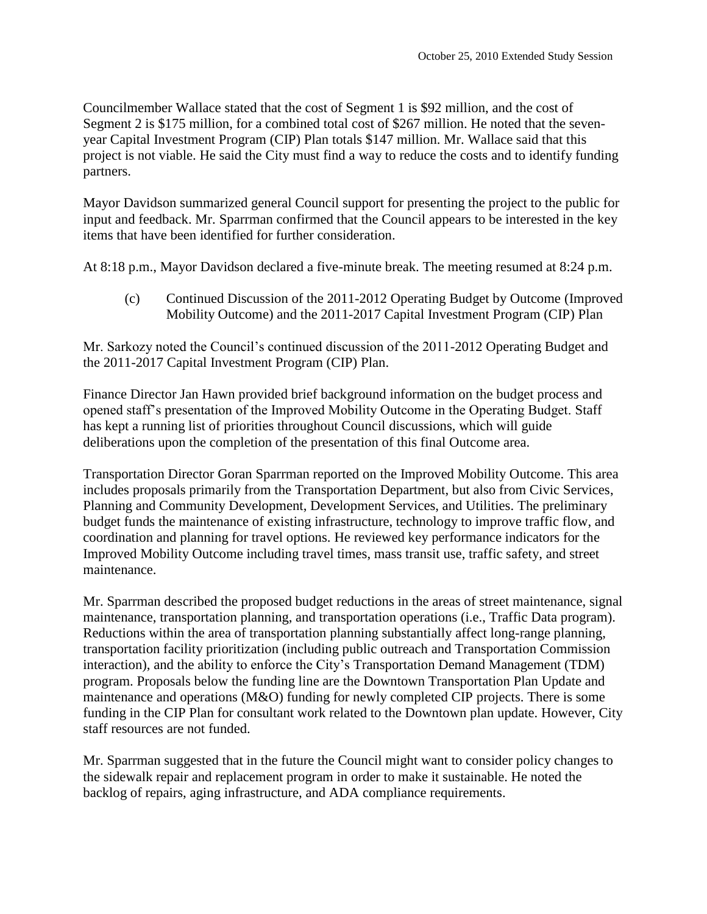Councilmember Wallace stated that the cost of Segment 1 is \$92 million, and the cost of Segment 2 is \$175 million, for a combined total cost of \$267 million. He noted that the sevenyear Capital Investment Program (CIP) Plan totals \$147 million. Mr. Wallace said that this project is not viable. He said the City must find a way to reduce the costs and to identify funding partners.

Mayor Davidson summarized general Council support for presenting the project to the public for input and feedback. Mr. Sparrman confirmed that the Council appears to be interested in the key items that have been identified for further consideration.

At 8:18 p.m., Mayor Davidson declared a five-minute break. The meeting resumed at 8:24 p.m.

(c) Continued Discussion of the 2011-2012 Operating Budget by Outcome (Improved Mobility Outcome) and the 2011-2017 Capital Investment Program (CIP) Plan

Mr. Sarkozy noted the Council's continued discussion of the 2011-2012 Operating Budget and the 2011-2017 Capital Investment Program (CIP) Plan.

Finance Director Jan Hawn provided brief background information on the budget process and opened staff's presentation of the Improved Mobility Outcome in the Operating Budget. Staff has kept a running list of priorities throughout Council discussions, which will guide deliberations upon the completion of the presentation of this final Outcome area.

Transportation Director Goran Sparrman reported on the Improved Mobility Outcome. This area includes proposals primarily from the Transportation Department, but also from Civic Services, Planning and Community Development, Development Services, and Utilities. The preliminary budget funds the maintenance of existing infrastructure, technology to improve traffic flow, and coordination and planning for travel options. He reviewed key performance indicators for the Improved Mobility Outcome including travel times, mass transit use, traffic safety, and street maintenance.

Mr. Sparrman described the proposed budget reductions in the areas of street maintenance, signal maintenance, transportation planning, and transportation operations (i.e., Traffic Data program). Reductions within the area of transportation planning substantially affect long-range planning, transportation facility prioritization (including public outreach and Transportation Commission interaction), and the ability to enforce the City's Transportation Demand Management (TDM) program. Proposals below the funding line are the Downtown Transportation Plan Update and maintenance and operations (M&O) funding for newly completed CIP projects. There is some funding in the CIP Plan for consultant work related to the Downtown plan update. However, City staff resources are not funded.

Mr. Sparrman suggested that in the future the Council might want to consider policy changes to the sidewalk repair and replacement program in order to make it sustainable. He noted the backlog of repairs, aging infrastructure, and ADA compliance requirements.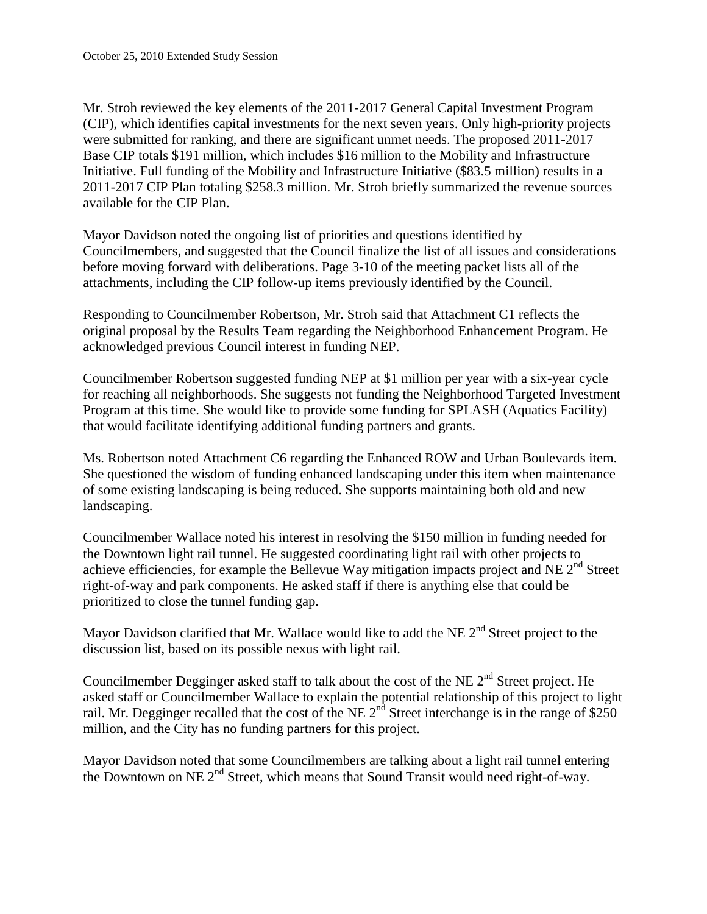Mr. Stroh reviewed the key elements of the 2011-2017 General Capital Investment Program (CIP), which identifies capital investments for the next seven years. Only high-priority projects were submitted for ranking, and there are significant unmet needs. The proposed 2011-2017 Base CIP totals \$191 million, which includes \$16 million to the Mobility and Infrastructure Initiative. Full funding of the Mobility and Infrastructure Initiative (\$83.5 million) results in a 2011-2017 CIP Plan totaling \$258.3 million. Mr. Stroh briefly summarized the revenue sources available for the CIP Plan.

Mayor Davidson noted the ongoing list of priorities and questions identified by Councilmembers, and suggested that the Council finalize the list of all issues and considerations before moving forward with deliberations. Page 3-10 of the meeting packet lists all of the attachments, including the CIP follow-up items previously identified by the Council.

Responding to Councilmember Robertson, Mr. Stroh said that Attachment C1 reflects the original proposal by the Results Team regarding the Neighborhood Enhancement Program. He acknowledged previous Council interest in funding NEP.

Councilmember Robertson suggested funding NEP at \$1 million per year with a six-year cycle for reaching all neighborhoods. She suggests not funding the Neighborhood Targeted Investment Program at this time. She would like to provide some funding for SPLASH (Aquatics Facility) that would facilitate identifying additional funding partners and grants.

Ms. Robertson noted Attachment C6 regarding the Enhanced ROW and Urban Boulevards item. She questioned the wisdom of funding enhanced landscaping under this item when maintenance of some existing landscaping is being reduced. She supports maintaining both old and new landscaping.

Councilmember Wallace noted his interest in resolving the \$150 million in funding needed for the Downtown light rail tunnel. He suggested coordinating light rail with other projects to achieve efficiencies, for example the Bellevue Way mitigation impacts project and NE  $2<sup>nd</sup>$  Street right-of-way and park components. He asked staff if there is anything else that could be prioritized to close the tunnel funding gap.

Mayor Davidson clarified that Mr. Wallace would like to add the NE  $2<sup>nd</sup>$  Street project to the discussion list, based on its possible nexus with light rail.

Councilmember Degginger asked staff to talk about the cost of the NE  $2<sup>nd</sup>$  Street project. He asked staff or Councilmember Wallace to explain the potential relationship of this project to light rail. Mr. Degginger recalled that the cost of the NE  $2<sup>nd</sup>$  Street interchange is in the range of \$250 million, and the City has no funding partners for this project.

Mayor Davidson noted that some Councilmembers are talking about a light rail tunnel entering the Downtown on NE 2<sup>nd</sup> Street, which means that Sound Transit would need right-of-way.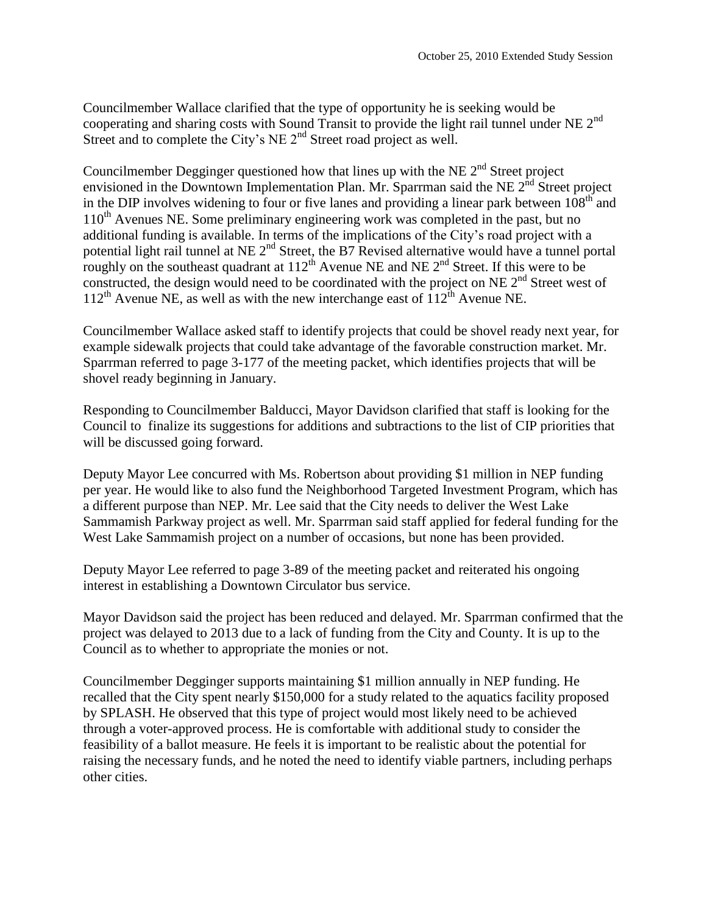Councilmember Wallace clarified that the type of opportunity he is seeking would be cooperating and sharing costs with Sound Transit to provide the light rail tunnel under NE  $2<sup>nd</sup>$ Street and to complete the City's NE  $2<sup>nd</sup>$  Street road project as well.

Councilmember Degginger questioned how that lines up with the NE  $2<sup>nd</sup>$  Street project envisioned in the Downtown Implementation Plan. Mr. Sparrman said the NE  $2^{nd}$  Street project in the DIP involves widening to four or five lanes and providing a linear park between  $108<sup>th</sup>$  and  $110<sup>th</sup>$  Avenues NE. Some preliminary engineering work was completed in the past, but no additional funding is available. In terms of the implications of the City's road project with a potential light rail tunnel at NE  $2^{nd}$  Street, the B7 Revised alternative would have a tunnel portal roughly on the southeast quadrant at  $112^{th}$  Avenue NE and NE  $2^{nd}$  Street. If this were to be constructed, the design would need to be coordinated with the project on NE  $2<sup>nd</sup>$  Street west of  $112^{th}$  Avenue NE, as well as with the new interchange east of  $112^{th}$  Avenue NE.

Councilmember Wallace asked staff to identify projects that could be shovel ready next year, for example sidewalk projects that could take advantage of the favorable construction market. Mr. Sparrman referred to page 3-177 of the meeting packet, which identifies projects that will be shovel ready beginning in January.

Responding to Councilmember Balducci, Mayor Davidson clarified that staff is looking for the Council to finalize its suggestions for additions and subtractions to the list of CIP priorities that will be discussed going forward.

Deputy Mayor Lee concurred with Ms. Robertson about providing \$1 million in NEP funding per year. He would like to also fund the Neighborhood Targeted Investment Program, which has a different purpose than NEP. Mr. Lee said that the City needs to deliver the West Lake Sammamish Parkway project as well. Mr. Sparrman said staff applied for federal funding for the West Lake Sammamish project on a number of occasions, but none has been provided.

Deputy Mayor Lee referred to page 3-89 of the meeting packet and reiterated his ongoing interest in establishing a Downtown Circulator bus service.

Mayor Davidson said the project has been reduced and delayed. Mr. Sparrman confirmed that the project was delayed to 2013 due to a lack of funding from the City and County. It is up to the Council as to whether to appropriate the monies or not.

Councilmember Degginger supports maintaining \$1 million annually in NEP funding. He recalled that the City spent nearly \$150,000 for a study related to the aquatics facility proposed by SPLASH. He observed that this type of project would most likely need to be achieved through a voter-approved process. He is comfortable with additional study to consider the feasibility of a ballot measure. He feels it is important to be realistic about the potential for raising the necessary funds, and he noted the need to identify viable partners, including perhaps other cities.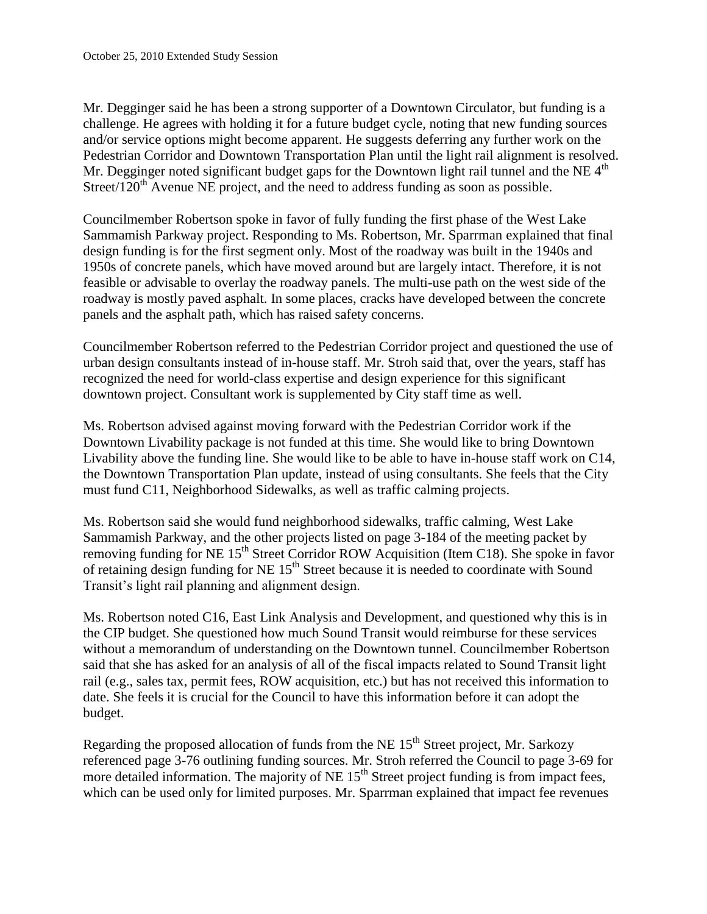Mr. Degginger said he has been a strong supporter of a Downtown Circulator, but funding is a challenge. He agrees with holding it for a future budget cycle, noting that new funding sources and/or service options might become apparent. He suggests deferring any further work on the Pedestrian Corridor and Downtown Transportation Plan until the light rail alignment is resolved. Mr. Degginger noted significant budget gaps for the Downtown light rail tunnel and the NE  $4<sup>th</sup>$ Street/ $120<sup>th</sup>$  Avenue NE project, and the need to address funding as soon as possible.

Councilmember Robertson spoke in favor of fully funding the first phase of the West Lake Sammamish Parkway project. Responding to Ms. Robertson, Mr. Sparrman explained that final design funding is for the first segment only. Most of the roadway was built in the 1940s and 1950s of concrete panels, which have moved around but are largely intact. Therefore, it is not feasible or advisable to overlay the roadway panels. The multi-use path on the west side of the roadway is mostly paved asphalt. In some places, cracks have developed between the concrete panels and the asphalt path, which has raised safety concerns.

Councilmember Robertson referred to the Pedestrian Corridor project and questioned the use of urban design consultants instead of in-house staff. Mr. Stroh said that, over the years, staff has recognized the need for world-class expertise and design experience for this significant downtown project. Consultant work is supplemented by City staff time as well.

Ms. Robertson advised against moving forward with the Pedestrian Corridor work if the Downtown Livability package is not funded at this time. She would like to bring Downtown Livability above the funding line. She would like to be able to have in-house staff work on C14, the Downtown Transportation Plan update, instead of using consultants. She feels that the City must fund C11, Neighborhood Sidewalks, as well as traffic calming projects.

Ms. Robertson said she would fund neighborhood sidewalks, traffic calming, West Lake Sammamish Parkway, and the other projects listed on page 3-184 of the meeting packet by removing funding for NE 15<sup>th</sup> Street Corridor ROW Acquisition (Item C18). She spoke in favor of retaining design funding for NE  $15<sup>th</sup>$  Street because it is needed to coordinate with Sound Transit's light rail planning and alignment design.

Ms. Robertson noted C16, East Link Analysis and Development, and questioned why this is in the CIP budget. She questioned how much Sound Transit would reimburse for these services without a memorandum of understanding on the Downtown tunnel. Councilmember Robertson said that she has asked for an analysis of all of the fiscal impacts related to Sound Transit light rail (e.g., sales tax, permit fees, ROW acquisition, etc.) but has not received this information to date. She feels it is crucial for the Council to have this information before it can adopt the budget.

Regarding the proposed allocation of funds from the NE 15<sup>th</sup> Street project, Mr. Sarkozy referenced page 3-76 outlining funding sources. Mr. Stroh referred the Council to page 3-69 for more detailed information. The majority of NE  $15<sup>th</sup>$  Street project funding is from impact fees, which can be used only for limited purposes. Mr. Sparrman explained that impact fee revenues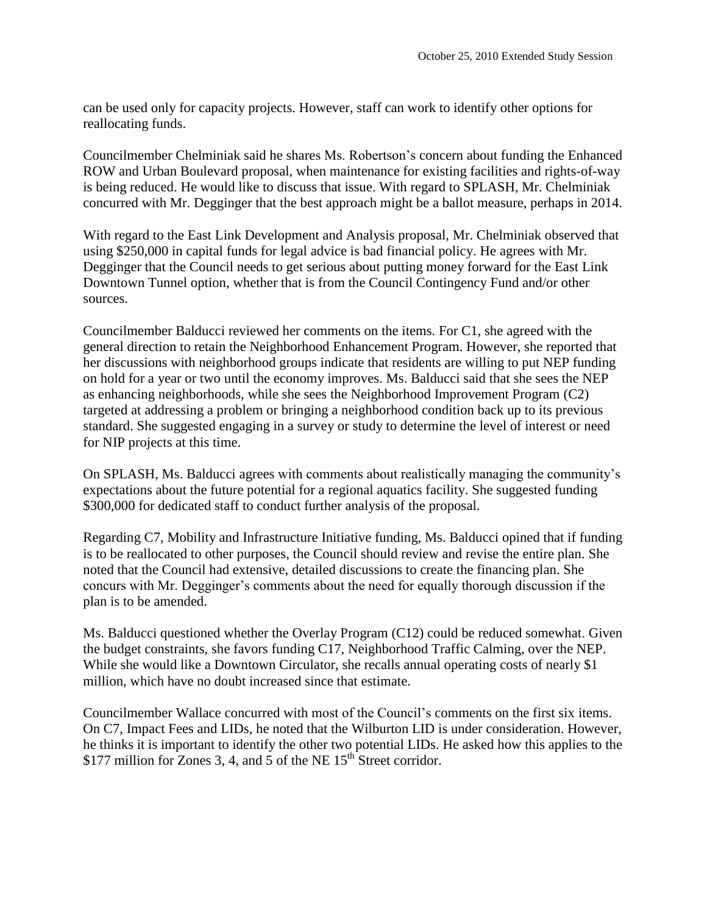can be used only for capacity projects. However, staff can work to identify other options for reallocating funds.

Councilmember Chelminiak said he shares Ms. Robertson's concern about funding the Enhanced ROW and Urban Boulevard proposal, when maintenance for existing facilities and rights-of-way is being reduced. He would like to discuss that issue. With regard to SPLASH, Mr. Chelminiak concurred with Mr. Degginger that the best approach might be a ballot measure, perhaps in 2014.

With regard to the East Link Development and Analysis proposal, Mr. Chelminiak observed that using \$250,000 in capital funds for legal advice is bad financial policy. He agrees with Mr. Degginger that the Council needs to get serious about putting money forward for the East Link Downtown Tunnel option, whether that is from the Council Contingency Fund and/or other sources.

Councilmember Balducci reviewed her comments on the items. For C1, she agreed with the general direction to retain the Neighborhood Enhancement Program. However, she reported that her discussions with neighborhood groups indicate that residents are willing to put NEP funding on hold for a year or two until the economy improves. Ms. Balducci said that she sees the NEP as enhancing neighborhoods, while she sees the Neighborhood Improvement Program (C2) targeted at addressing a problem or bringing a neighborhood condition back up to its previous standard. She suggested engaging in a survey or study to determine the level of interest or need for NIP projects at this time.

On SPLASH, Ms. Balducci agrees with comments about realistically managing the community's expectations about the future potential for a regional aquatics facility. She suggested funding \$300,000 for dedicated staff to conduct further analysis of the proposal.

Regarding C7, Mobility and Infrastructure Initiative funding, Ms. Balducci opined that if funding is to be reallocated to other purposes, the Council should review and revise the entire plan. She noted that the Council had extensive, detailed discussions to create the financing plan. She concurs with Mr. Degginger's comments about the need for equally thorough discussion if the plan is to be amended.

Ms. Balducci questioned whether the Overlay Program (C12) could be reduced somewhat. Given the budget constraints, she favors funding C17, Neighborhood Traffic Calming, over the NEP. While she would like a Downtown Circulator, she recalls annual operating costs of nearly \$1 million, which have no doubt increased since that estimate.

Councilmember Wallace concurred with most of the Council's comments on the first six items. On C7, Impact Fees and LIDs, he noted that the Wilburton LID is under consideration. However, he thinks it is important to identify the other two potential LIDs. He asked how this applies to the \$177 million for Zones 3, 4, and 5 of the NE  $15<sup>th</sup>$  Street corridor.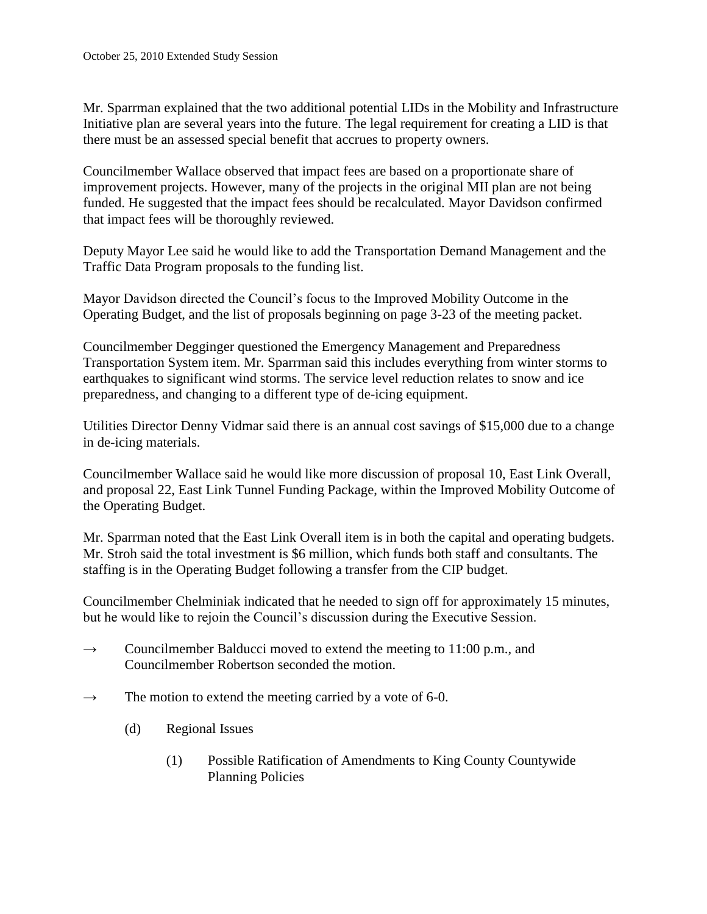Mr. Sparrman explained that the two additional potential LIDs in the Mobility and Infrastructure Initiative plan are several years into the future. The legal requirement for creating a LID is that there must be an assessed special benefit that accrues to property owners.

Councilmember Wallace observed that impact fees are based on a proportionate share of improvement projects. However, many of the projects in the original MII plan are not being funded. He suggested that the impact fees should be recalculated. Mayor Davidson confirmed that impact fees will be thoroughly reviewed.

Deputy Mayor Lee said he would like to add the Transportation Demand Management and the Traffic Data Program proposals to the funding list.

Mayor Davidson directed the Council's focus to the Improved Mobility Outcome in the Operating Budget, and the list of proposals beginning on page 3-23 of the meeting packet.

Councilmember Degginger questioned the Emergency Management and Preparedness Transportation System item. Mr. Sparrman said this includes everything from winter storms to earthquakes to significant wind storms. The service level reduction relates to snow and ice preparedness, and changing to a different type of de-icing equipment.

Utilities Director Denny Vidmar said there is an annual cost savings of \$15,000 due to a change in de-icing materials.

Councilmember Wallace said he would like more discussion of proposal 10, East Link Overall, and proposal 22, East Link Tunnel Funding Package, within the Improved Mobility Outcome of the Operating Budget.

Mr. Sparrman noted that the East Link Overall item is in both the capital and operating budgets. Mr. Stroh said the total investment is \$6 million, which funds both staff and consultants. The staffing is in the Operating Budget following a transfer from the CIP budget.

Councilmember Chelminiak indicated that he needed to sign off for approximately 15 minutes, but he would like to rejoin the Council's discussion during the Executive Session.

- $\rightarrow$  Councilmember Balducci moved to extend the meeting to 11:00 p.m., and Councilmember Robertson seconded the motion.
- $\rightarrow$  The motion to extend the meeting carried by a vote of 6-0.
	- (d) Regional Issues
		- (1) Possible Ratification of Amendments to King County Countywide Planning Policies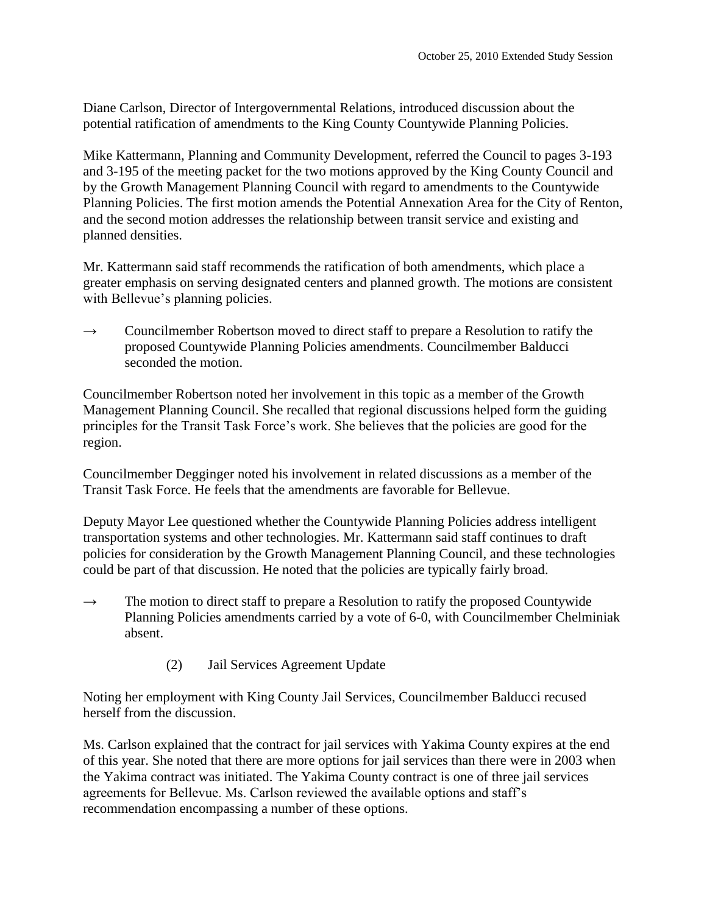Diane Carlson, Director of Intergovernmental Relations, introduced discussion about the potential ratification of amendments to the King County Countywide Planning Policies.

Mike Kattermann, Planning and Community Development, referred the Council to pages 3-193 and 3-195 of the meeting packet for the two motions approved by the King County Council and by the Growth Management Planning Council with regard to amendments to the Countywide Planning Policies. The first motion amends the Potential Annexation Area for the City of Renton, and the second motion addresses the relationship between transit service and existing and planned densities.

Mr. Kattermann said staff recommends the ratification of both amendments, which place a greater emphasis on serving designated centers and planned growth. The motions are consistent with Bellevue's planning policies.

 $\rightarrow$  Councilmember Robertson moved to direct staff to prepare a Resolution to ratify the proposed Countywide Planning Policies amendments. Councilmember Balducci seconded the motion.

Councilmember Robertson noted her involvement in this topic as a member of the Growth Management Planning Council. She recalled that regional discussions helped form the guiding principles for the Transit Task Force's work. She believes that the policies are good for the region.

Councilmember Degginger noted his involvement in related discussions as a member of the Transit Task Force. He feels that the amendments are favorable for Bellevue.

Deputy Mayor Lee questioned whether the Countywide Planning Policies address intelligent transportation systems and other technologies. Mr. Kattermann said staff continues to draft policies for consideration by the Growth Management Planning Council, and these technologies could be part of that discussion. He noted that the policies are typically fairly broad.

- $\rightarrow$  The motion to direct staff to prepare a Resolution to ratify the proposed Countywide Planning Policies amendments carried by a vote of 6-0, with Councilmember Chelminiak absent.
	- (2) Jail Services Agreement Update

Noting her employment with King County Jail Services, Councilmember Balducci recused herself from the discussion.

Ms. Carlson explained that the contract for jail services with Yakima County expires at the end of this year. She noted that there are more options for jail services than there were in 2003 when the Yakima contract was initiated. The Yakima County contract is one of three jail services agreements for Bellevue. Ms. Carlson reviewed the available options and staff's recommendation encompassing a number of these options.